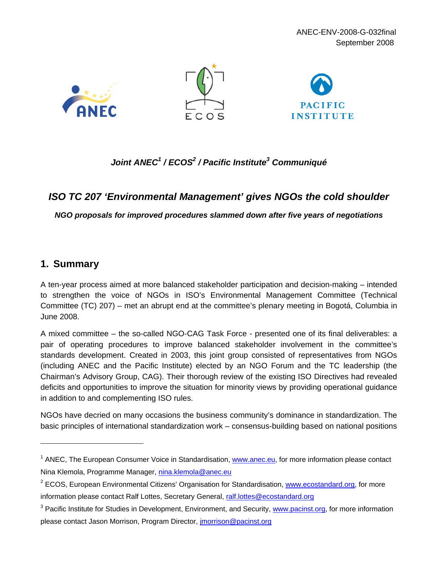

# *Joint ANEC1 / ECOS2 / Pacific Institute3 Communiqué*

# *ISO TC 207 'Environmental Management' gives NGOs the cold shoulder*

*NGO proposals for improved procedures slammed down after five years of negotiations* 

# **1. Summary**

A ten-year process aimed at more balanced stakeholder participation and decision-making – intended to strengthen the voice of NGOs in ISO's Environmental Management Committee (Technical Committee (TC) 207) – met an abrupt end at the committee's plenary meeting in Bogotá, Columbia in June 2008.

A mixed committee – the so-called NGO-CAG Task Force - presented one of its final deliverables: a pair of operating procedures to improve balanced stakeholder involvement in the committee's standards development. Created in 2003, this joint group consisted of representatives from NGOs (including ANEC and the Pacific Institute) elected by an NGO Forum and the TC leadership (the Chairman's Advisory Group, CAG). Their thorough review of the existing ISO Directives had revealed deficits and opportunities to improve the situation for minority views by providing operational guidance in addition to and complementing ISO rules.

NGOs have decried on many occasions the business community's dominance in standardization. The basic principles of international standardization work – consensus-building based on national positions

<sup>&</sup>lt;sup>1</sup> ANEC, The European Consumer Voice in Standardisation, www.anec.eu, for more information please contact Nina Klemola, Programme Manager, nina.klemola@anec.eu

<sup>&</sup>lt;sup>2</sup> ECOS, European Environmental Citizens' Organisation for Standardisation, www.ecostandard.org, for more information please contact Ralf Lottes, Secretary General, ralf.lottes@ecostandard.org

<sup>&</sup>lt;sup>3</sup> Pacific Institute for Studies in Development, Environment, and Security, www.pacinst.org, for more information please contact Jason Morrison, Program Director, jmorrison@pacinst.org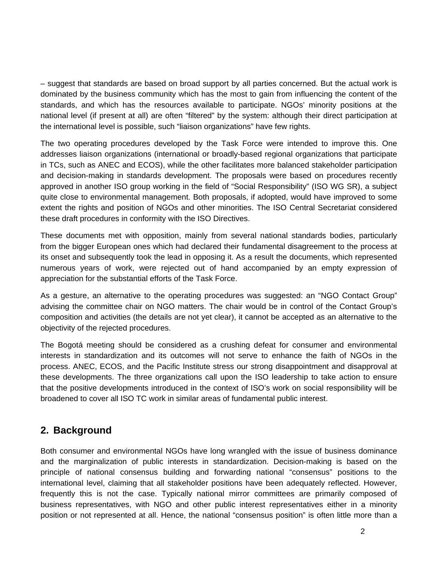– suggest that standards are based on broad support by all parties concerned. But the actual work is dominated by the business community which has the most to gain from influencing the content of the standards, and which has the resources available to participate. NGOs' minority positions at the national level (if present at all) are often "filtered" by the system: although their direct participation at the international level is possible, such "liaison organizations" have few rights.

The two operating procedures developed by the Task Force were intended to improve this. One addresses liaison organizations (international or broadly-based regional organizations that participate in TCs, such as ANEC and ECOS), while the other facilitates more balanced stakeholder participation and decision-making in standards development. The proposals were based on procedures recently approved in another ISO group working in the field of "Social Responsibility" (ISO WG SR), a subject quite close to environmental management. Both proposals, if adopted, would have improved to some extent the rights and position of NGOs and other minorities. The ISO Central Secretariat considered these draft procedures in conformity with the ISO Directives.

These documents met with opposition, mainly from several national standards bodies, particularly from the bigger European ones which had declared their fundamental disagreement to the process at its onset and subsequently took the lead in opposing it. As a result the documents, which represented numerous years of work, were rejected out of hand accompanied by an empty expression of appreciation for the substantial efforts of the Task Force.

As a gesture, an alternative to the operating procedures was suggested: an "NGO Contact Group" advising the committee chair on NGO matters. The chair would be in control of the Contact Group's composition and activities (the details are not yet clear), it cannot be accepted as an alternative to the objectivity of the rejected procedures.

The Bogotá meeting should be considered as a crushing defeat for consumer and environmental interests in standardization and its outcomes will not serve to enhance the faith of NGOs in the process. ANEC, ECOS, and the Pacific Institute stress our strong disappointment and disapproval at these developments. The three organizations call upon the ISO leadership to take action to ensure that the positive developments introduced in the context of ISO's work on social responsibility will be broadened to cover all ISO TC work in similar areas of fundamental public interest.

# **2. Background**

Both consumer and environmental NGOs have long wrangled with the issue of business dominance and the marginalization of public interests in standardization. Decision-making is based on the principle of national consensus building and forwarding national "consensus" positions to the international level, claiming that all stakeholder positions have been adequately reflected. However, frequently this is not the case. Typically national mirror committees are primarily composed of business representatives, with NGO and other public interest representatives either in a minority position or not represented at all. Hence, the national "consensus position" is often little more than a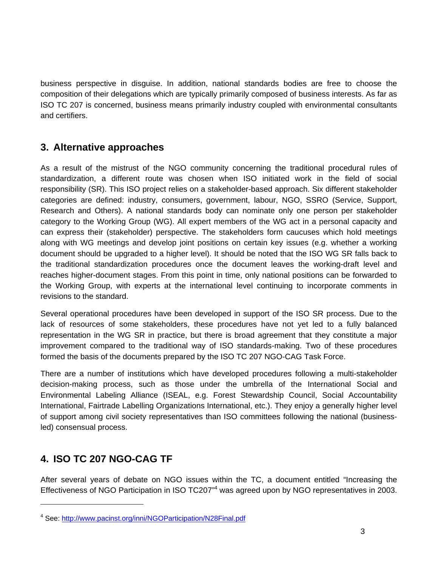business perspective in disguise. In addition, national standards bodies are free to choose the composition of their delegations which are typically primarily composed of business interests. As far as ISO TC 207 is concerned, business means primarily industry coupled with environmental consultants and certifiers.

# **3. Alternative approaches**

As a result of the mistrust of the NGO community concerning the traditional procedural rules of standardization, a different route was chosen when ISO initiated work in the field of social responsibility (SR). This ISO project relies on a stakeholder-based approach. Six different stakeholder categories are defined: industry, consumers, government, labour, NGO, SSRO (Service, Support, Research and Others). A national standards body can nominate only one person per stakeholder category to the Working Group (WG). All expert members of the WG act in a personal capacity and can express their (stakeholder) perspective. The stakeholders form caucuses which hold meetings along with WG meetings and develop joint positions on certain key issues (e.g. whether a working document should be upgraded to a higher level). It should be noted that the ISO WG SR falls back to the traditional standardization procedures once the document leaves the working-draft level and reaches higher-document stages. From this point in time, only national positions can be forwarded to the Working Group, with experts at the international level continuing to incorporate comments in revisions to the standard.

Several operational procedures have been developed in support of the ISO SR process. Due to the lack of resources of some stakeholders, these procedures have not yet led to a fully balanced representation in the WG SR in practice, but there is broad agreement that they constitute a major improvement compared to the traditional way of ISO standards-making. Two of these procedures formed the basis of the documents prepared by the ISO TC 207 NGO-CAG Task Force.

There are a number of institutions which have developed procedures following a multi-stakeholder decision-making process, such as those under the umbrella of the International Social and Environmental Labeling Alliance (ISEAL, e.g. Forest Stewardship Council, Social Accountability International, Fairtrade Labelling Organizations International, etc.). They enjoy a generally higher level of support among civil society representatives than ISO committees following the national (businessled) consensual process.

# **4. ISO TC 207 NGO-CAG TF**

After several years of debate on NGO issues within the TC, a document entitled "Increasing the Effectiveness of NGO Participation in ISO TC207<sup>n4</sup> was agreed upon by NGO representatives in 2003.

<sup>&</sup>lt;sup>4</sup> See: http://www.pacinst.org/inni/NGOParticipation/N28Final.pdf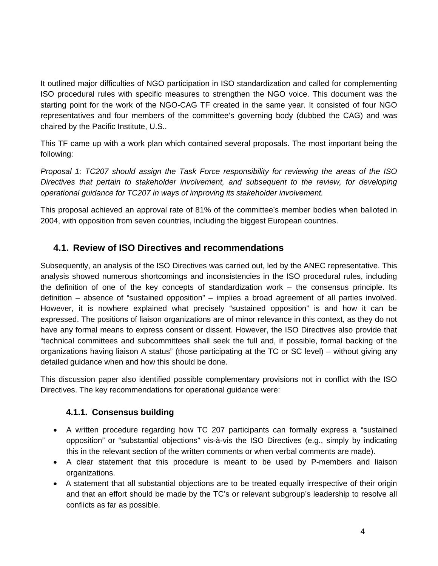It outlined major difficulties of NGO participation in ISO standardization and called for complementing ISO procedural rules with specific measures to strengthen the NGO voice. This document was the starting point for the work of the NGO-CAG TF created in the same year. It consisted of four NGO representatives and four members of the committee's governing body (dubbed the CAG) and was chaired by the Pacific Institute, U.S..

This TF came up with a work plan which contained several proposals. The most important being the following:

*Proposal 1: TC207 should assign the Task Force responsibility for reviewing the areas of the ISO Directives that pertain to stakeholder involvement, and subsequent to the review, for developing operational guidance for TC207 in ways of improving its stakeholder involvement.* 

This proposal achieved an approval rate of 81% of the committee's member bodies when balloted in 2004, with opposition from seven countries, including the biggest European countries.

# **4.1. Review of ISO Directives and recommendations**

Subsequently, an analysis of the ISO Directives was carried out, led by the ANEC representative. This analysis showed numerous shortcomings and inconsistencies in the ISO procedural rules, including the definition of one of the key concepts of standardization work – the consensus principle. Its definition – absence of "sustained opposition" – implies a broad agreement of all parties involved. However, it is nowhere explained what precisely "sustained opposition" is and how it can be expressed. The positions of liaison organizations are of minor relevance in this context, as they do not have any formal means to express consent or dissent. However, the ISO Directives also provide that "technical committees and subcommittees shall seek the full and, if possible, formal backing of the organizations having liaison A status" (those participating at the TC or SC level) – without giving any detailed guidance when and how this should be done.

This discussion paper also identified possible complementary provisions not in conflict with the ISO Directives. The key recommendations for operational guidance were:

# **4.1.1. Consensus building**

- A written procedure regarding how TC 207 participants can formally express a "sustained opposition" or "substantial objections" vis-à-vis the ISO Directives (e.g., simply by indicating this in the relevant section of the written comments or when verbal comments are made).
- A clear statement that this procedure is meant to be used by P-members and liaison organizations.
- A statement that all substantial objections are to be treated equally irrespective of their origin and that an effort should be made by the TC's or relevant subgroup's leadership to resolve all conflicts as far as possible.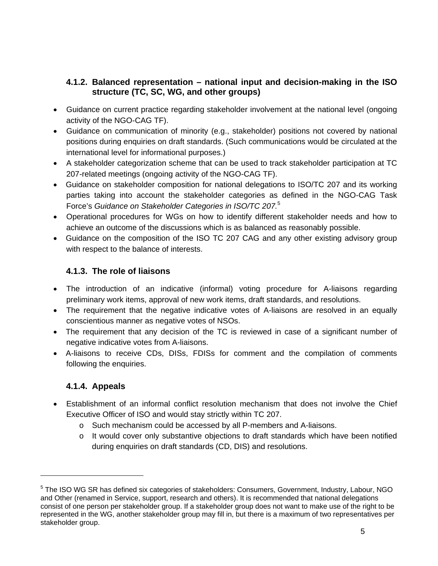### **4.1.2. Balanced representation – national input and decision-making in the ISO structure (TC, SC, WG, and other groups)**

- Guidance on current practice regarding stakeholder involvement at the national level (ongoing activity of the NGO-CAG TF).
- Guidance on communication of minority (e.g., stakeholder) positions not covered by national positions during enquiries on draft standards. (Such communications would be circulated at the international level for informational purposes.)
- A stakeholder categorization scheme that can be used to track stakeholder participation at TC 207-related meetings (ongoing activity of the NGO-CAG TF).
- Guidance on stakeholder composition for national delegations to ISO/TC 207 and its working parties taking into account the stakeholder categories as defined in the NGO-CAG Task Force's *Guidance on Stakeholder Categories in ISO/TC 207.*<sup>5</sup>
- Operational procedures for WGs on how to identify different stakeholder needs and how to achieve an outcome of the discussions which is as balanced as reasonably possible.
- Guidance on the composition of the ISO TC 207 CAG and any other existing advisory group with respect to the balance of interests.

## **4.1.3. The role of liaisons**

- The introduction of an indicative (informal) voting procedure for A-liaisons regarding preliminary work items, approval of new work items, draft standards, and resolutions.
- The requirement that the negative indicative votes of A-liaisons are resolved in an equally conscientious manner as negative votes of NSOs.
- The requirement that any decision of the TC is reviewed in case of a significant number of negative indicative votes from A-liaisons.
- A-liaisons to receive CDs, DISs, FDISs for comment and the compilation of comments following the enquiries.

# **4.1.4. Appeals**

- Establishment of an informal conflict resolution mechanism that does not involve the Chief Executive Officer of ISO and would stay strictly within TC 207.
	- o Such mechanism could be accessed by all P-members and A-liaisons.
	- o It would cover only substantive objections to draft standards which have been notified during enquiries on draft standards (CD, DIS) and resolutions.

<sup>&</sup>lt;sup>5</sup> The ISO WG SR has defined six categories of stakeholders: Consumers, Government, Industry, Labour, NGO and Other (renamed in Service, support, research and others). It is recommended that national delegations consist of one person per stakeholder group. If a stakeholder group does not want to make use of the right to be represented in the WG, another stakeholder group may fill in, but there is a maximum of two representatives per stakeholder group.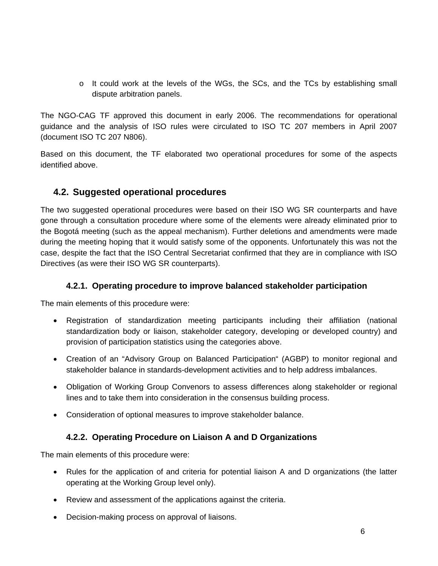o It could work at the levels of the WGs, the SCs, and the TCs by establishing small dispute arbitration panels.

The NGO-CAG TF approved this document in early 2006. The recommendations for operational guidance and the analysis of ISO rules were circulated to ISO TC 207 members in April 2007 (document ISO TC 207 N806).

Based on this document, the TF elaborated two operational procedures for some of the aspects identified above.

# **4.2. Suggested operational procedures**

The two suggested operational procedures were based on their ISO WG SR counterparts and have gone through a consultation procedure where some of the elements were already eliminated prior to the Bogotá meeting (such as the appeal mechanism). Further deletions and amendments were made during the meeting hoping that it would satisfy some of the opponents. Unfortunately this was not the case, despite the fact that the ISO Central Secretariat confirmed that they are in compliance with ISO Directives (as were their ISO WG SR counterparts).

## **4.2.1. Operating procedure to improve balanced stakeholder participation**

The main elements of this procedure were:

- Registration of standardization meeting participants including their affiliation (national standardization body or liaison, stakeholder category, developing or developed country) and provision of participation statistics using the categories above.
- Creation of an "Advisory Group on Balanced Participation" (AGBP) to monitor regional and stakeholder balance in standards-development activities and to help address imbalances.
- Obligation of Working Group Convenors to assess differences along stakeholder or regional lines and to take them into consideration in the consensus building process.
- Consideration of optional measures to improve stakeholder balance.

## **4.2.2. Operating Procedure on Liaison A and D Organizations**

The main elements of this procedure were:

- Rules for the application of and criteria for potential liaison A and D organizations (the latter operating at the Working Group level only).
- Review and assessment of the applications against the criteria.
- Decision-making process on approval of liaisons.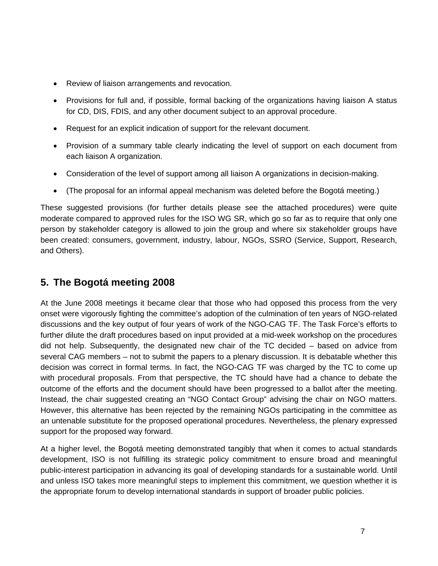- Review of liaison arrangements and revocation.
- Provisions for full and, if possible, formal backing of the organizations having liaison A status for CD, DIS, FDIS, and any other document subject to an approval procedure.
- Request for an explicit indication of support for the relevant document.
- Provision of a summary table clearly indicating the level of support on each document from each liaison A organization.
- Consideration of the level of support among all liaison A organizations in decision-making.
- (The proposal for an informal appeal mechanism was deleted before the Bogotá meeting.)

These suggested provisions (for further details please see the attached procedures) were quite moderate compared to approved rules for the ISO WG SR, which go so far as to require that only one person by stakeholder category is allowed to join the group and where six stakeholder groups have been created: consumers, government, industry, labour, NGOs, SSRO (Service, Support, Research, and Others).

# **5. The Bogotá meeting 2008**

At the June 2008 meetings it became clear that those who had opposed this process from the very onset were vigorously fighting the committee's adoption of the culmination of ten years of NGO-related discussions and the key output of four years of work of the NGO-CAG TF. The Task Force's efforts to further dilute the draft procedures based on input provided at a mid-week workshop on the procedures did not help. Subsequently, the designated new chair of the TC decided – based on advice from several CAG members – not to submit the papers to a plenary discussion. It is debatable whether this decision was correct in formal terms. In fact, the NGO-CAG TF was charged by the TC to come up with procedural proposals. From that perspective, the TC should have had a chance to debate the outcome of the efforts and the document should have been progressed to a ballot after the meeting. Instead, the chair suggested creating an "NGO Contact Group" advising the chair on NGO matters. However, this alternative has been rejected by the remaining NGOs participating in the committee as an untenable substitute for the proposed operational procedures. Nevertheless, the plenary expressed support for the proposed way forward.

At a higher level, the Bogotá meeting demonstrated tangibly that when it comes to actual standards development, ISO is not fulfilling its strategic policy commitment to ensure broad and meaningful public-interest participation in advancing its goal of developing standards for a sustainable world. Until and unless ISO takes more meaningful steps to implement this commitment, we question whether it is the appropriate forum to develop international standards in support of broader public policies.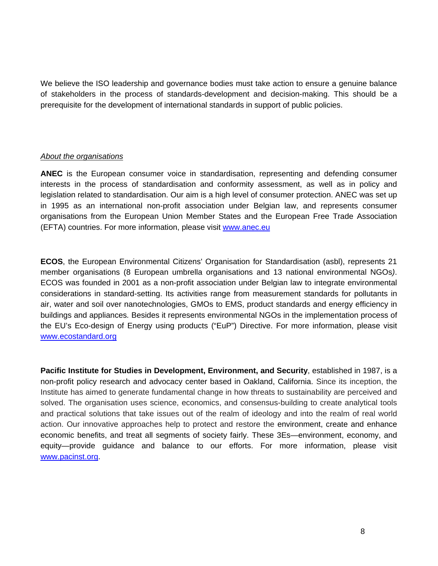We believe the ISO leadership and governance bodies must take action to ensure a genuine balance of stakeholders in the process of standards-development and decision-making. This should be a prerequisite for the development of international standards in support of public policies.

#### *About the organisations*

**ANEC** is the European consumer voice in standardisation, representing and defending consumer interests in the process of standardisation and conformity assessment, as well as in policy and legislation related to standardisation. Our aim is a high level of consumer protection. ANEC was set up in 1995 as an international non-profit association under Belgian law, and represents consumer organisations from the European Union Member States and the European Free Trade Association (EFTA) countries. For more information, please visit www.anec.eu

**ECOS**, the European Environmental Citizens' Organisation for Standardisation (asbl), represents 21 member organisations (8 European umbrella organisations and 13 national environmental NGOs*)*. ECOS was founded in 2001 as a non-profit association under Belgian law to integrate environmental considerations in standard-setting. Its activities range from measurement standards for pollutants in air, water and soil over nanotechnologies, GMOs to EMS, product standards and energy efficiency in buildings and appliances*.* Besides it represents environmental NGOs in the implementation process of the EU's Eco-design of Energy using products ("EuP") Directive. For more information, please visit www.ecostandard.org

**Pacific Institute for Studies in Development, Environment, and Security**, established in 1987, is a non-profit policy research and advocacy center based in Oakland, California. Since its inception, the Institute has aimed to generate fundamental change in how threats to sustainability are perceived and solved. The organisation uses science, economics, and consensus-building to create analytical tools and practical solutions that take issues out of the realm of ideology and into the realm of real world action. Our innovative approaches help to protect and restore the environment, create and enhance economic benefits, and treat all segments of society fairly. These 3Es—environment, economy, and equity—provide guidance and balance to our efforts. For more information, please visit www.pacinst.org.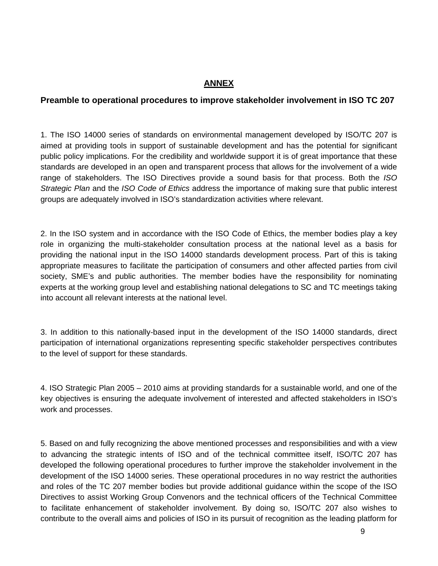### **ANNEX**

#### **Preamble to operational procedures to improve stakeholder involvement in ISO TC 207**

1. The ISO 14000 series of standards on environmental management developed by ISO/TC 207 is aimed at providing tools in support of sustainable development and has the potential for significant public policy implications. For the credibility and worldwide support it is of great importance that these standards are developed in an open and transparent process that allows for the involvement of a wide range of stakeholders. The ISO Directives provide a sound basis for that process. Both the *ISO Strategic Plan* and the *ISO Code of Ethics* address the importance of making sure that public interest groups are adequately involved in ISO's standardization activities where relevant.

2. In the ISO system and in accordance with the ISO Code of Ethics, the member bodies play a key role in organizing the multi-stakeholder consultation process at the national level as a basis for providing the national input in the ISO 14000 standards development process. Part of this is taking appropriate measures to facilitate the participation of consumers and other affected parties from civil society, SME's and public authorities. The member bodies have the responsibility for nominating experts at the working group level and establishing national delegations to SC and TC meetings taking into account all relevant interests at the national level.

3. In addition to this nationally-based input in the development of the ISO 14000 standards, direct participation of international organizations representing specific stakeholder perspectives contributes to the level of support for these standards.

4. ISO Strategic Plan 2005 – 2010 aims at providing standards for a sustainable world, and one of the key objectives is ensuring the adequate involvement of interested and affected stakeholders in ISO's work and processes.

5. Based on and fully recognizing the above mentioned processes and responsibilities and with a view to advancing the strategic intents of ISO and of the technical committee itself, ISO/TC 207 has developed the following operational procedures to further improve the stakeholder involvement in the development of the ISO 14000 series. These operational procedures in no way restrict the authorities and roles of the TC 207 member bodies but provide additional guidance within the scope of the ISO Directives to assist Working Group Convenors and the technical officers of the Technical Committee to facilitate enhancement of stakeholder involvement. By doing so, ISO/TC 207 also wishes to contribute to the overall aims and policies of ISO in its pursuit of recognition as the leading platform for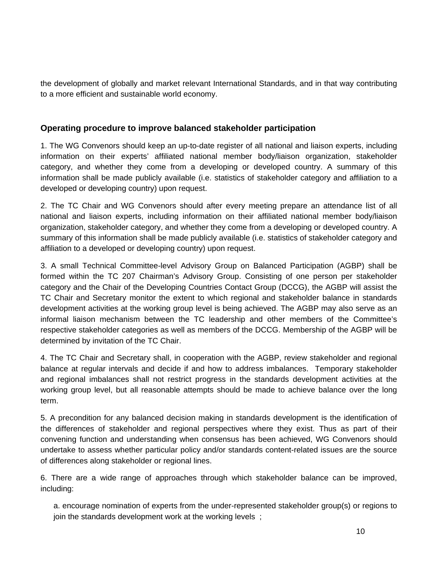the development of globally and market relevant International Standards, and in that way contributing to a more efficient and sustainable world economy.

### **Operating procedure to improve balanced stakeholder participation**

1. The WG Convenors should keep an up-to-date register of all national and liaison experts, including information on their experts' affiliated national member body/liaison organization, stakeholder category, and whether they come from a developing or developed country. A summary of this information shall be made publicly available (i.e. statistics of stakeholder category and affiliation to a developed or developing country) upon request.

2. The TC Chair and WG Convenors should after every meeting prepare an attendance list of all national and liaison experts, including information on their affiliated national member body/liaison organization, stakeholder category, and whether they come from a developing or developed country. A summary of this information shall be made publicly available (i.e. statistics of stakeholder category and affiliation to a developed or developing country) upon request.

3. A small Technical Committee-level Advisory Group on Balanced Participation (AGBP) shall be formed within the TC 207 Chairman's Advisory Group. Consisting of one person per stakeholder category and the Chair of the Developing Countries Contact Group (DCCG), the AGBP will assist the TC Chair and Secretary monitor the extent to which regional and stakeholder balance in standards development activities at the working group level is being achieved. The AGBP may also serve as an informal liaison mechanism between the TC leadership and other members of the Committee's respective stakeholder categories as well as members of the DCCG. Membership of the AGBP will be determined by invitation of the TC Chair.

4. The TC Chair and Secretary shall, in cooperation with the AGBP, review stakeholder and regional balance at regular intervals and decide if and how to address imbalances. Temporary stakeholder and regional imbalances shall not restrict progress in the standards development activities at the working group level, but all reasonable attempts should be made to achieve balance over the long term.

5. A precondition for any balanced decision making in standards development is the identification of the differences of stakeholder and regional perspectives where they exist. Thus as part of their convening function and understanding when consensus has been achieved, WG Convenors should undertake to assess whether particular policy and/or standards content-related issues are the source of differences along stakeholder or regional lines.

6. There are a wide range of approaches through which stakeholder balance can be improved, including:

a. encourage nomination of experts from the under-represented stakeholder group(s) or regions to join the standards development work at the working levels ;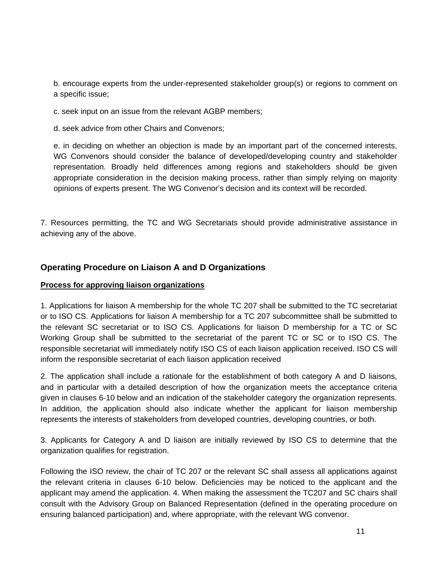b. encourage experts from the under-represented stakeholder group(s) or regions to comment on a specific issue;

c. seek input on an issue from the relevant AGBP members;

d. seek advice from other Chairs and Convenors;

e. in deciding on whether an objection is made by an important part of the concerned interests, WG Convenors should consider the balance of developed/developing country and stakeholder representation. Broadly held differences among regions and stakeholders should be given appropriate consideration in the decision making process, rather than simply relying on majority opinions of experts present. The WG Convenor's decision and its context will be recorded.

7. Resources permitting, the TC and WG Secretariats should provide administrative assistance in achieving any of the above.

#### **Operating Procedure on Liaison A and D Organizations**

#### **Process for approving liaison organizations**

1. Applications for liaison A membership for the whole TC 207 shall be submitted to the TC secretariat or to ISO CS. Applications for liaison A membership for a TC 207 subcommittee shall be submitted to the relevant SC secretariat or to ISO CS. Applications for liaison D membership for a TC or SC Working Group shall be submitted to the secretariat of the parent TC or SC or to ISO CS. The responsible secretariat will immediately notify ISO CS of each liaison application received. ISO CS will inform the responsible secretariat of each liaison application received

2. The application shall include a rationale for the establishment of both category A and D liaisons, and in particular with a detailed description of how the organization meets the acceptance criteria given in clauses 6-10 below and an indication of the stakeholder category the organization represents. In addition, the application should also indicate whether the applicant for liaison membership represents the interests of stakeholders from developed countries, developing countries, or both.

3. Applicants for Category A and D liaison are initially reviewed by ISO CS to determine that the organization qualifies for registration.

Following the ISO review, the chair of TC 207 or the relevant SC shall assess all applications against the relevant criteria in clauses 6-10 below. Deficiencies may be noticed to the applicant and the applicant may amend the application. 4. When making the assessment the TC207 and SC chairs shall consult with the Advisory Group on Balanced Representation (defined in the operating procedure on ensuring balanced participation) and, where appropriate, with the relevant WG convenor.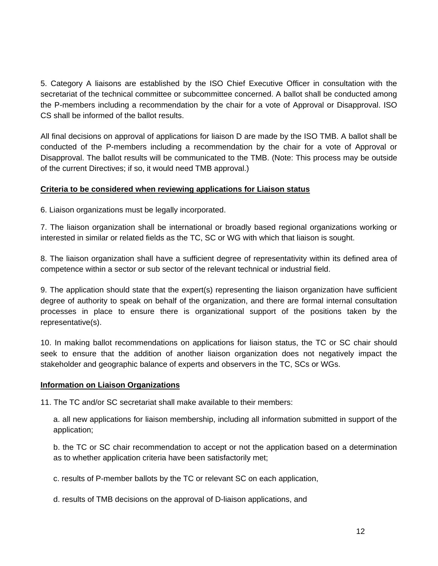5. Category A liaisons are established by the ISO Chief Executive Officer in consultation with the secretariat of the technical committee or subcommittee concerned. A ballot shall be conducted among the P-members including a recommendation by the chair for a vote of Approval or Disapproval. ISO CS shall be informed of the ballot results.

All final decisions on approval of applications for liaison D are made by the ISO TMB. A ballot shall be conducted of the P-members including a recommendation by the chair for a vote of Approval or Disapproval. The ballot results will be communicated to the TMB. (Note: This process may be outside of the current Directives; if so, it would need TMB approval.)

#### **Criteria to be considered when reviewing applications for Liaison status**

6. Liaison organizations must be legally incorporated.

7. The liaison organization shall be international or broadly based regional organizations working or interested in similar or related fields as the TC, SC or WG with which that liaison is sought.

8. The liaison organization shall have a sufficient degree of representativity within its defined area of competence within a sector or sub sector of the relevant technical or industrial field.

9. The application should state that the expert(s) representing the liaison organization have sufficient degree of authority to speak on behalf of the organization, and there are formal internal consultation processes in place to ensure there is organizational support of the positions taken by the representative(s).

10. In making ballot recommendations on applications for liaison status, the TC or SC chair should seek to ensure that the addition of another liaison organization does not negatively impact the stakeholder and geographic balance of experts and observers in the TC, SCs or WGs.

#### **Information on Liaison Organizations**

11. The TC and/or SC secretariat shall make available to their members:

a. all new applications for liaison membership, including all information submitted in support of the application;

b. the TC or SC chair recommendation to accept or not the application based on a determination as to whether application criteria have been satisfactorily met;

c. results of P-member ballots by the TC or relevant SC on each application,

d. results of TMB decisions on the approval of D-liaison applications, and